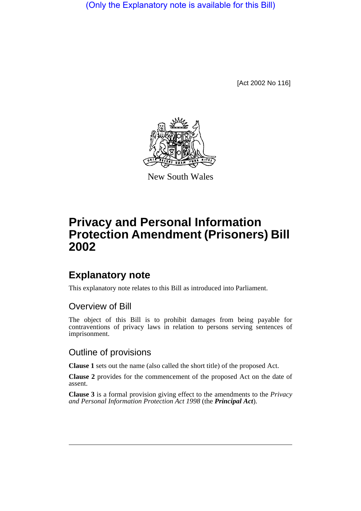(Only the Explanatory note is available for this Bill)

[Act 2002 No 116]



New South Wales

# **Privacy and Personal Information Protection Amendment (Prisoners) Bill 2002**

## **Explanatory note**

This explanatory note relates to this Bill as introduced into Parliament.

### Overview of Bill

The object of this Bill is to prohibit damages from being payable for contraventions of privacy laws in relation to persons serving sentences of imprisonment.

### Outline of provisions

**Clause 1** sets out the name (also called the short title) of the proposed Act.

**Clause 2** provides for the commencement of the proposed Act on the date of assent.

**Clause 3** is a formal provision giving effect to the amendments to the *Privacy and Personal Information Protection Act 1998* (the *Principal Act*).